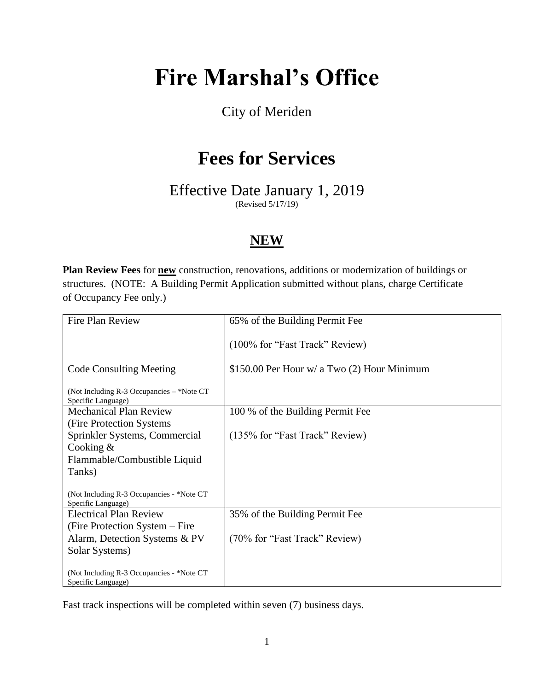# **Fire Marshal's Office**

## City of Meriden

## **Fees for Services**

Effective Date January 1, 2019

(Revised 5/17/19)

### **NEW**

**Plan Review Fees** for **new** construction, renovations, additions or modernization of buildings or structures. (NOTE: A Building Permit Application submitted without plans, charge Certificate of Occupancy Fee only.)

| Fire Plan Review                                                | 65% of the Building Permit Fee              |
|-----------------------------------------------------------------|---------------------------------------------|
|                                                                 | (100% for "Fast Track" Review)              |
| <b>Code Consulting Meeting</b>                                  | \$150.00 Per Hour w/ a Two (2) Hour Minimum |
| (Not Including R-3 Occupancies - *Note CT<br>Specific Language) |                                             |
| <b>Mechanical Plan Review</b>                                   | 100 % of the Building Permit Fee            |
| (Fire Protection Systems –                                      |                                             |
| Sprinkler Systems, Commercial                                   | (135% for "Fast Track" Review)              |
| Cooking $&$                                                     |                                             |
| Flammable/Combustible Liquid                                    |                                             |
| Tanks)                                                          |                                             |
| (Not Including R-3 Occupancies - *Note CT<br>Specific Language) |                                             |
| <b>Electrical Plan Review</b>                                   | 35% of the Building Permit Fee              |
| (Fire Protection System – Fire                                  |                                             |
| Alarm, Detection Systems & PV                                   | (70% for "Fast Track" Review)               |
| Solar Systems)                                                  |                                             |
| (Not Including R-3 Occupancies - *Note CT<br>Specific Language) |                                             |

Fast track inspections will be completed within seven (7) business days.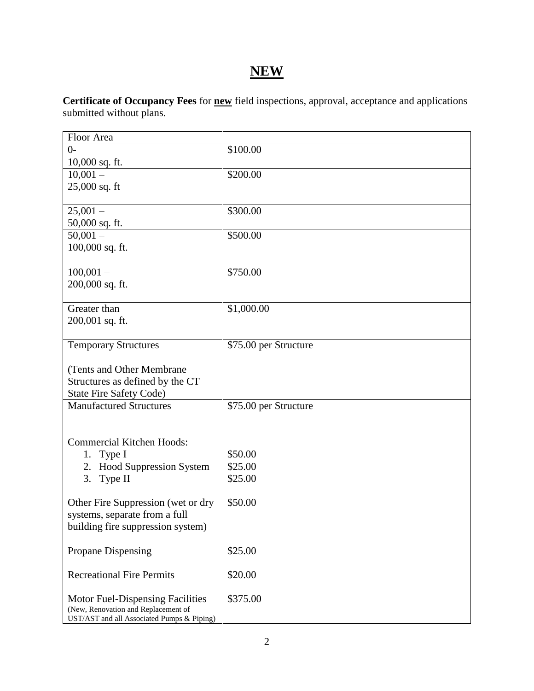## **NEW**

**Certificate of Occupancy Fees** for **new** field inspections, approval, acceptance and applications submitted without plans.

| Floor Area                                 |                       |
|--------------------------------------------|-----------------------|
| $0-$                                       | \$100.00              |
| $10,000$ sq. ft.                           |                       |
| $10,001 -$                                 | \$200.00              |
| 25,000 sq. ft                              |                       |
|                                            |                       |
| $25,001 -$                                 | \$300.00              |
| 50,000 sq. ft.                             |                       |
| $50,001 -$                                 | \$500.00              |
| 100,000 sq. ft.                            |                       |
|                                            |                       |
|                                            |                       |
| $100,001 -$                                | \$750.00              |
| 200,000 sq. ft.                            |                       |
|                                            |                       |
| Greater than                               | \$1,000.00            |
| 200,001 sq. ft.                            |                       |
|                                            |                       |
| <b>Temporary Structures</b>                | \$75.00 per Structure |
|                                            |                       |
| (Tents and Other Membrane                  |                       |
| Structures as defined by the CT            |                       |
| <b>State Fire Safety Code)</b>             |                       |
| <b>Manufactured Structures</b>             | \$75.00 per Structure |
|                                            |                       |
|                                            |                       |
| <b>Commercial Kitchen Hoods:</b>           |                       |
|                                            |                       |
| Type I<br>1.                               | \$50.00               |
| 2. Hood Suppression System                 | \$25.00               |
| 3. Type II                                 | \$25.00               |
|                                            |                       |
| Other Fire Suppression (wet or dry         | \$50.00               |
| systems, separate from a full              |                       |
| building fire suppression system)          |                       |
|                                            |                       |
| Propane Dispensing                         | \$25.00               |
|                                            |                       |
| <b>Recreational Fire Permits</b>           | \$20.00               |
|                                            |                       |
| Motor Fuel-Dispensing Facilities           | \$375.00              |
| (New, Renovation and Replacement of        |                       |
| UST/AST and all Associated Pumps & Piping) |                       |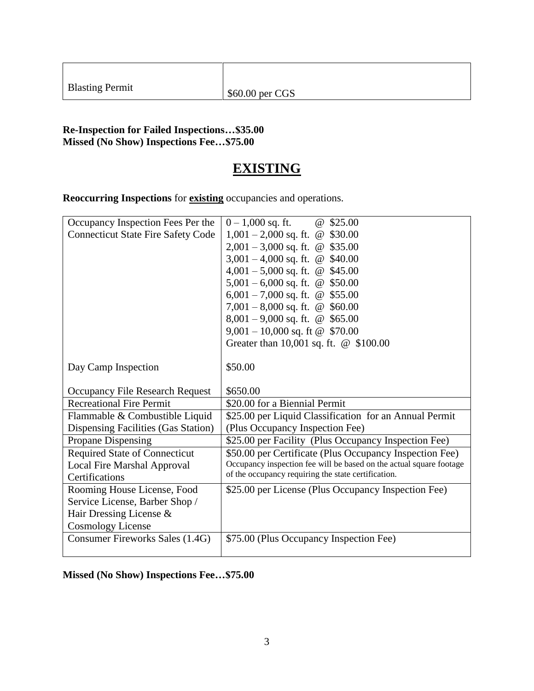| <b>Blasting Permit</b> |  |
|------------------------|--|
|------------------------|--|

#### **Re-Inspection for Failed Inspections…\$35.00 Missed (No Show) Inspections Fee…\$75.00**

### **EXISTING**

**Reoccurring Inspections** for **existing** occupancies and operations.

| Occupancy Inspection Fees Per the         | $0 - 1,000$ sq. ft.<br>\$25.00<br>$\omega$                          |
|-------------------------------------------|---------------------------------------------------------------------|
| <b>Connecticut State Fire Safety Code</b> | $1,001 - 2,000$ sq. ft.<br>\$30.00<br>$\omega$                      |
|                                           | $2,001 - 3,000$ sq. ft. @ \$35.00                                   |
|                                           | 3,001 – 4,000 sq. ft. @ $$40.00$                                    |
|                                           | $4,001 - 5,000$ sq. ft. @<br>\$45.00                                |
|                                           | $5,001 - 6,000$ sq. ft. @ \$50.00                                   |
|                                           | 6,001 – 7,000 sq. ft. @<br>\$55.00                                  |
|                                           | 7,001 – 8,000 sq. ft. $\omega$<br>\$60.00                           |
|                                           | $8,001 - 9,000$ sq. ft. @ \$65.00                                   |
|                                           | $9,001 - 10,000$ sq. ft @ \$70.00                                   |
|                                           | Greater than 10,001 sq. ft. @ \$100.00                              |
|                                           |                                                                     |
| Day Camp Inspection                       | \$50.00                                                             |
|                                           |                                                                     |
| Occupancy File Research Request           | \$650.00                                                            |
| <b>Recreational Fire Permit</b>           | \$20.00 for a Biennial Permit                                       |
| Flammable & Combustible Liquid            | \$25.00 per Liquid Classification for an Annual Permit              |
| Dispensing Facilities (Gas Station)       | (Plus Occupancy Inspection Fee)                                     |
| Propane Dispensing                        | \$25.00 per Facility (Plus Occupancy Inspection Fee)                |
| <b>Required State of Connecticut</b>      | \$50.00 per Certificate (Plus Occupancy Inspection Fee)             |
| Local Fire Marshal Approval               | Occupancy inspection fee will be based on the actual square footage |
| Certifications                            | of the occupancy requiring the state certification.                 |
| Rooming House License, Food               | \$25.00 per License (Plus Occupancy Inspection Fee)                 |
| Service License, Barber Shop /            |                                                                     |
| Hair Dressing License &                   |                                                                     |
| <b>Cosmology License</b>                  |                                                                     |
| Consumer Fireworks Sales (1.4G)           | \$75.00 (Plus Occupancy Inspection Fee)                             |
|                                           |                                                                     |

#### **Missed (No Show) Inspections Fee…\$75.00**